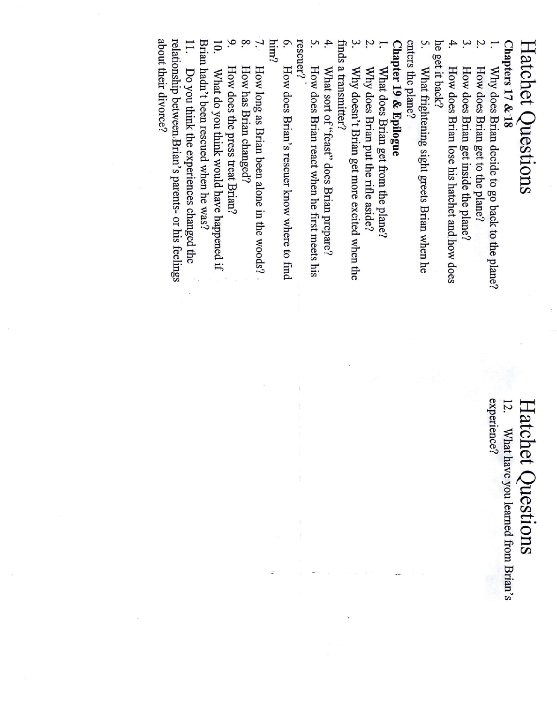# Hatchet Questions **Hatchet Questions**

## Chapters 17 & 18 **Chapters 17 & '18**

1. Why does Brian decide to go back to the plane? Why does Brian decide to go back to the plane?

2. How does Brian get to the plane? How does Brian get to the plane?

3. How does Brian get inside the plane? How does Brian get inside the plane?

he get it back? he get it back? 4. How does Brian lose his hatchet and.how does How does Brian lose his hatchet and how does

5. What frightening sight greets Brian when he What frightening sight greets Brian when he

### Chapter 19 & Epilogue **Chapter 19 & Epilogue**  enters the plane? enters the plane?

1. What does Brian get from the plane? What does Brian get from the plane?

2. Why does Brian put the rifle aside? Why does Brian put the rifle aside?

finds a transmitter? finds a transmitter? 3. Why doesn't Brian get more excited when the Why doesn't Brian get more excited when the

4. What sort of "feast" does Brian prepare? What sort of "feast" does Brian prepare'

rescuer? 5. How does Brian react when he first meets his How does Brian react when he first meets his

him? 6. How does Brian's rescuer know where to find How does Brian's rescuer know where to find

بر. How long as Brian been alone in the woods? How long as Brian been alone in the woods? .

8. How has Brian changed? How has Brian changed?

9. How does the press treat Brian? How does the press treat Brian?

IQ. 10. What do you think would have happened if What do you think would have happened if

Brian hadn't been rescued when he was? Brian hadn't been rescued when he was?

11. Do you think the experiences changed the Do you think the experiences changed the

about their divorce? relationship between Brian's parents- or his feelings about their divorce? relationship between,Brian's parents or his feelings

### experience? 12. What have you learned from Brian's experience? **Hatchet Questions**  Hatchet Questions 12. What have you learned from Brian's